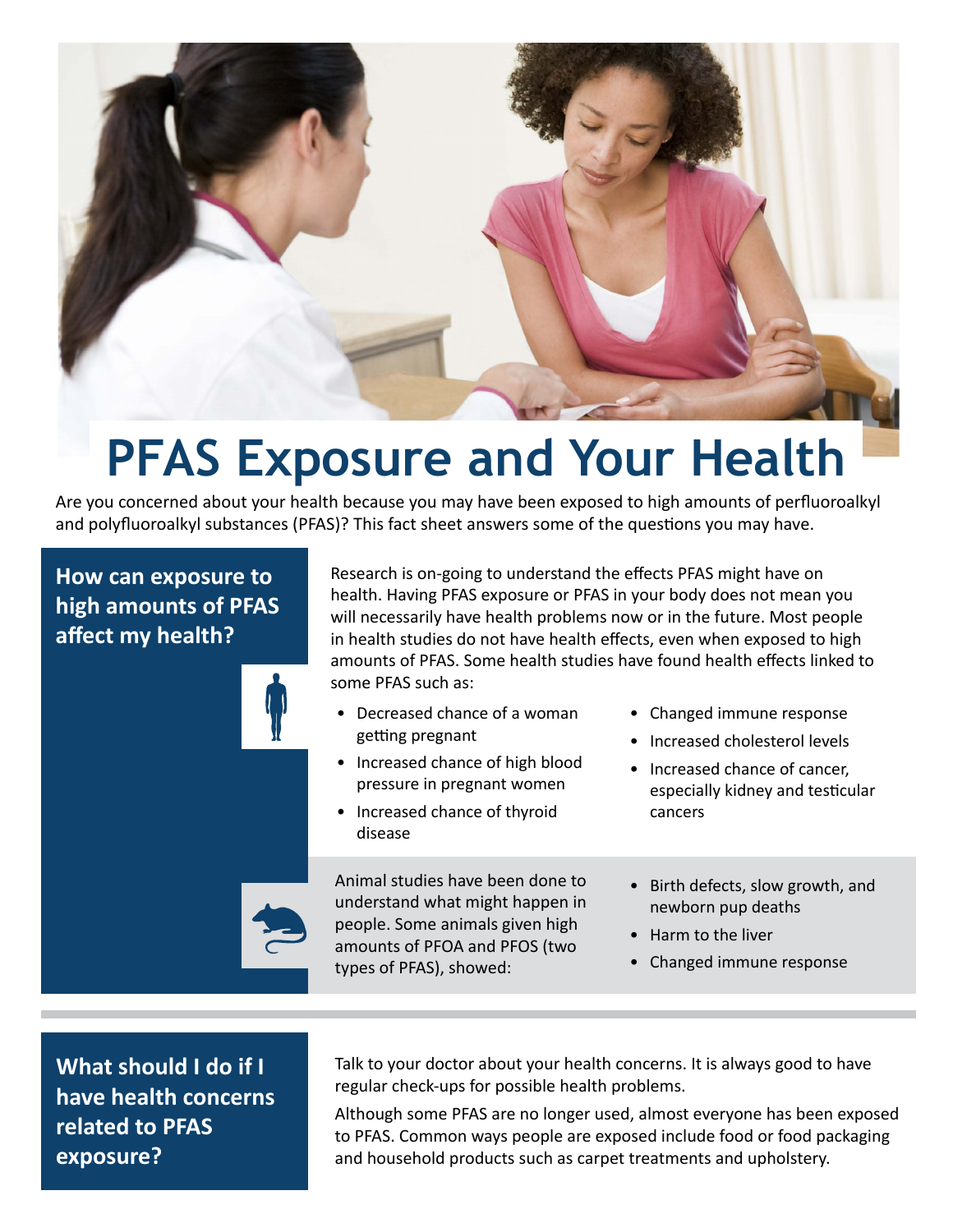

## **PFAS Exposure and Your Health**

Are you concerned about your health because you may have been exposed to high amounts of perfluoroalkyl and polyfluoroalkyl substances (PFAS)? This fact sheet answers some of the questions you may have.

## **How can exposure to high amounts of PFAS affect my health?**

Research is on-going to understand the effects PFAS might have on health. Having PFAS exposure or PFAS in your body does not mean you will necessarily have health problems now or in the future. Most people in health studies do not have health effects, even when exposed to high amounts of PFAS. Some health studies have found health effects linked to some PFAS such as:

- Decreased chance of a woman getting pregnant
- Increased chance of high blood pressure in pregnant women
- Increased chance of thyroid disease

Animal studies have been done to understand what might happen in people. Some animals given high amounts of PFOA and PFOS (two types of PFAS), showed:

- Changed immune response
- Increased cholesterol levels
- Increased chance of cancer, especially kidney and testicular cancers
- Birth defects, slow growth, and newborn pup deaths
- Harm to the liver
- Changed immune response

**What should I do if I have health concerns related to PFAS exposure?**

Talk to your doctor about your health concerns. It is always good to have regular check-ups for possible health problems.

Although some PFAS are no longer used, almost everyone has been exposed to PFAS. Common ways people are exposed include food or food packaging and household products such as carpet treatments and upholstery.